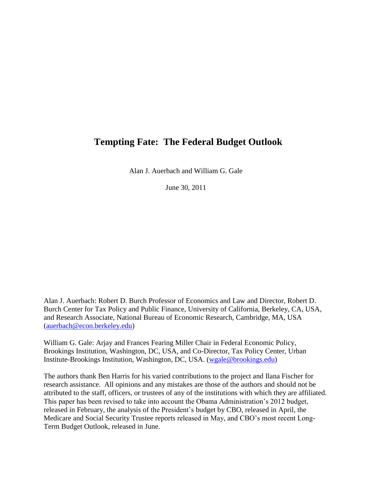# **Tempting Fate: The Federal Budget Outlook**

Alan J. Auerbach and William G. Gale

June 30, 2011

Alan J. Auerbach: Robert D. Burch Professor of Economics and Law and Director, Robert D. Burch Center for Tax Policy and Public Finance, University of California, Berkeley, CA, USA, and Research Associate, National Bureau of Economic Research, Cambridge, MA, USA [\(auerbach@econ.berkeley.edu\)](mailto:auerbach@econ.berkeley.edu)

William G. Gale: Arjay and Frances Fearing Miller Chair in Federal Economic Policy, Brookings Institution, Washington, DC, USA, and Co-Director, Tax Policy Center, Urban Institute-Brookings Institution, Washington, DC, USA. [\(wgale@brookings.edu\)](mailto:wgale@brookings.edu)

The authors thank Ben Harris for his varied contributions to the project and Ilana Fischer for research assistance. All opinions and any mistakes are those of the authors and should not be attributed to the staff, officers, or trustees of any of the institutions with which they are affiliated. This paper has been revised to take into account the Obama Administration's 2012 budget, released in February, the analysis of the President's budget by CBO, released in April, the Medicare and Social Security Trustee reports released in May, and CBO's most recent Long-Term Budget Outlook, released in June.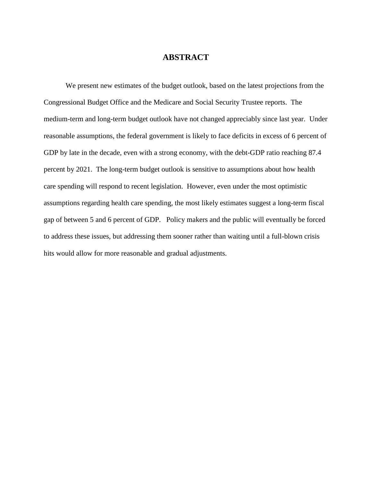## **ABSTRACT**

We present new estimates of the budget outlook, based on the latest projections from the Congressional Budget Office and the Medicare and Social Security Trustee reports. The medium-term and long-term budget outlook have not changed appreciably since last year. Under reasonable assumptions, the federal government is likely to face deficits in excess of 6 percent of GDP by late in the decade, even with a strong economy, with the debt-GDP ratio reaching 87.4 percent by 2021. The long-term budget outlook is sensitive to assumptions about how health care spending will respond to recent legislation. However, even under the most optimistic assumptions regarding health care spending, the most likely estimates suggest a long-term fiscal gap of between 5 and 6 percent of GDP. Policy makers and the public will eventually be forced to address these issues, but addressing them sooner rather than waiting until a full-blown crisis hits would allow for more reasonable and gradual adjustments.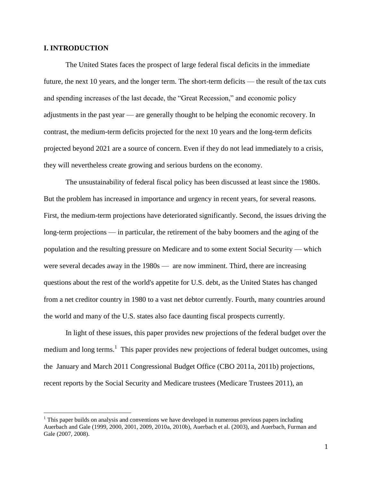### **I. INTRODUCTION**

 $\overline{a}$ 

The United States faces the prospect of large federal fiscal deficits in the immediate future, the next 10 years, and the longer term. The short-term deficits — the result of the tax cuts and spending increases of the last decade, the "Great Recession," and economic policy adjustments in the past year — are generally thought to be helping the economic recovery. In contrast, the medium-term deficits projected for the next 10 years and the long-term deficits projected beyond 2021 are a source of concern. Even if they do not lead immediately to a crisis, they will nevertheless create growing and serious burdens on the economy.

The unsustainability of federal fiscal policy has been discussed at least since the 1980s. But the problem has increased in importance and urgency in recent years, for several reasons. First, the medium-term projections have deteriorated significantly. Second, the issues driving the long-term projections — in particular, the retirement of the baby boomers and the aging of the population and the resulting pressure on Medicare and to some extent Social Security — which were several decades away in the 1980s — are now imminent. Third, there are increasing questions about the rest of the world's appetite for U.S. debt, as the United States has changed from a net creditor country in 1980 to a vast net debtor currently. Fourth, many countries around the world and many of the U.S. states also face daunting fiscal prospects currently.

In light of these issues, this paper provides new projections of the federal budget over the medium and long terms.<sup>1</sup> This paper provides new projections of federal budget outcomes, using the January and March 2011 Congressional Budget Office (CBO 2011a, 2011b) projections, recent reports by the Social Security and Medicare trustees (Medicare Trustees 2011), an

 $<sup>1</sup>$  This paper builds on analysis and conventions we have developed in numerous previous papers including</sup> Auerbach and Gale (1999, 2000, 2001, 2009, 2010a, 2010b), Auerbach et al. (2003), and Auerbach, Furman and Gale (2007, 2008).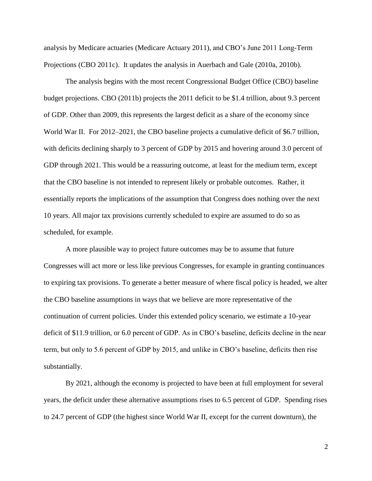analysis by Medicare actuaries (Medicare Actuary 2011), and CBO's June 2011 Long-Term Projections (CBO 2011c). It updates the analysis in Auerbach and Gale (2010a, 2010b).

The analysis begins with the most recent Congressional Budget Office (CBO) baseline budget projections. CBO (2011b) projects the 2011 deficit to be \$1.4 trillion, about 9.3 percent of GDP. Other than 2009, this represents the largest deficit as a share of the economy since World War II. For 2012–2021, the CBO baseline projects a cumulative deficit of \$6.7 trillion, with deficits declining sharply to 3 percent of GDP by 2015 and hovering around 3.0 percent of GDP through 2021. This would be a reassuring outcome, at least for the medium term, except that the CBO baseline is not intended to represent likely or probable outcomes. Rather, it essentially reports the implications of the assumption that Congress does nothing over the next 10 years. All major tax provisions currently scheduled to expire are assumed to do so as scheduled, for example.

A more plausible way to project future outcomes may be to assume that future Congresses will act more or less like previous Congresses, for example in granting continuances to expiring tax provisions. To generate a better measure of where fiscal policy is headed, we alter the CBO baseline assumptions in ways that we believe are more representative of the continuation of current policies. Under this extended policy scenario, we estimate a 10-year deficit of \$11.9 trillion, or 6.0 percent of GDP. As in CBO's baseline, deficits decline in the near term, but only to 5.6 percent of GDP by 2015, and unlike in CBO's baseline, deficits then rise substantially.

By 2021, although the economy is projected to have been at full employment for several years, the deficit under these alternative assumptions rises to 6.5 percent of GDP. Spending rises to 24.7 percent of GDP (the highest since World War II, except for the current downturn), the

2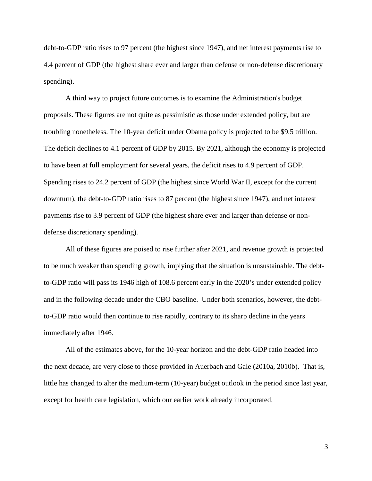debt-to-GDP ratio rises to 97 percent (the highest since 1947), and net interest payments rise to 4.4 percent of GDP (the highest share ever and larger than defense or non-defense discretionary spending).

A third way to project future outcomes is to examine the Administration's budget proposals. These figures are not quite as pessimistic as those under extended policy, but are troubling nonetheless. The 10-year deficit under Obama policy is projected to be \$9.5 trillion. The deficit declines to 4.1 percent of GDP by 2015. By 2021, although the economy is projected to have been at full employment for several years, the deficit rises to 4.9 percent of GDP. Spending rises to 24.2 percent of GDP (the highest since World War II, except for the current downturn), the debt-to-GDP ratio rises to 87 percent (the highest since 1947), and net interest payments rise to 3.9 percent of GDP (the highest share ever and larger than defense or nondefense discretionary spending).

All of these figures are poised to rise further after 2021, and revenue growth is projected to be much weaker than spending growth, implying that the situation is unsustainable. The debtto-GDP ratio will pass its 1946 high of 108.6 percent early in the 2020's under extended policy and in the following decade under the CBO baseline. Under both scenarios, however, the debtto-GDP ratio would then continue to rise rapidly, contrary to its sharp decline in the years immediately after 1946.

All of the estimates above, for the 10-year horizon and the debt-GDP ratio headed into the next decade, are very close to those provided in Auerbach and Gale (2010a, 2010b). That is, little has changed to alter the medium-term (10-year) budget outlook in the period since last year, except for health care legislation, which our earlier work already incorporated.

3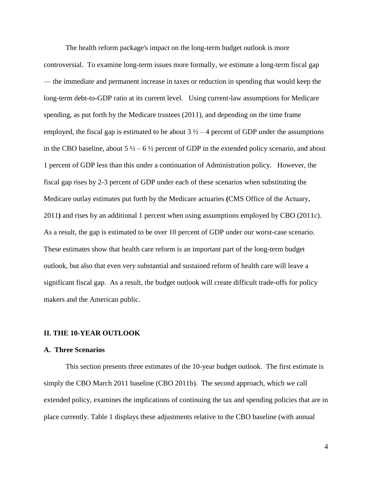The health reform package's impact on the long-term budget outlook is more controversial. To examine long-term issues more formally, we estimate a long-term fiscal gap — the immediate and permanent increase in taxes or reduction in spending that would keep the long-term debt-to-GDP ratio at its current level. Using current-law assumptions for Medicare spending, as put forth by the Medicare trustees (2011), and depending on the time frame employed, the fiscal gap is estimated to be about  $3\frac{1}{2} - 4$  percent of GDP under the assumptions in the CBO baseline, about  $5\frac{1}{2} - 6\frac{1}{2}$  percent of GDP in the extended policy scenario, and about 1 percent of GDP less than this under a continuation of Administration policy. However, the fiscal gap rises by 2-3 percent of GDP under each of these scenarios when substituting the Medicare outlay estimates put forth by the Medicare actuaries **(**CMS Office of the Actuary, 2011**)** and rises by an additional 1 percent when using assumptions employed by CBO (2011c). As a result, the gap is estimated to be over 10 percent of GDP under our worst-case scenario. These estimates show that health care reform is an important part of the long-term budget outlook, but also that even very substantial and sustained reform of health care will leave a significant fiscal gap. As a result, the budget outlook will create difficult trade-offs for policy makers and the American public.

#### **II. THE 10-YEAR OUTLOOK**

#### **A. Three Scenarios**

This section presents three estimates of the 10-year budget outlook. The first estimate is simply the CBO March 2011 baseline (CBO 2011b). The second approach, which we call extended policy, examines the implications of continuing the tax and spending policies that are in place currently. Table 1 displays these adjustments relative to the CBO baseline (with annual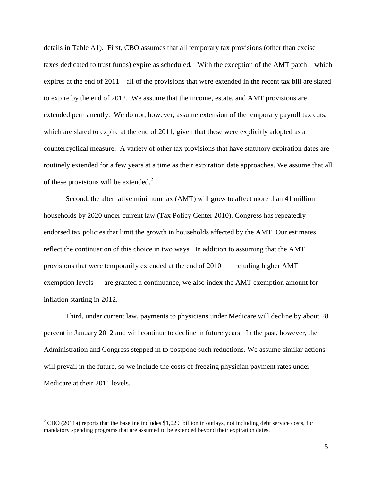details in Table A1)**.** First, CBO assumes that all temporary tax provisions (other than excise taxes dedicated to trust funds) expire as scheduled. With the exception of the AMT patch—which expires at the end of 2011—all of the provisions that were extended in the recent tax bill are slated to expire by the end of 2012. We assume that the income, estate, and AMT provisions are extended permanently. We do not, however, assume extension of the temporary payroll tax cuts, which are slated to expire at the end of 2011, given that these were explicitly adopted as a countercyclical measure. A variety of other tax provisions that have statutory expiration dates are routinely extended for a few years at a time as their expiration date approaches. We assume that all of these provisions will be extended. $^{2}$ 

Second, the alternative minimum tax (AMT) will grow to affect more than 41 million households by 2020 under current law (Tax Policy Center 2010). Congress has repeatedly endorsed tax policies that limit the growth in households affected by the AMT. Our estimates reflect the continuation of this choice in two ways. In addition to assuming that the AMT provisions that were temporarily extended at the end of 2010 — including higher AMT exemption levels — are granted a continuance, we also index the AMT exemption amount for inflation starting in 2012.

Third, under current law, payments to physicians under Medicare will decline by about 28 percent in January 2012 and will continue to decline in future years. In the past, however, the Administration and Congress stepped in to postpone such reductions. We assume similar actions will prevail in the future, so we include the costs of freezing physician payment rates under Medicare at their 2011 levels.

<sup>&</sup>lt;sup>2</sup> CBO (2011a) reports that the baseline includes \$1,029 billion in outlays, not including debt service costs, for mandatory spending programs that are assumed to be extended beyond their expiration dates.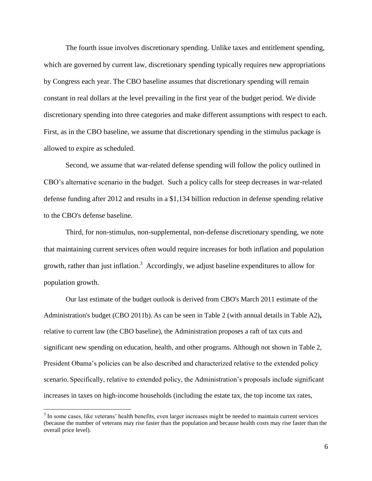The fourth issue involves discretionary spending. Unlike taxes and entitlement spending, which are governed by current law, discretionary spending typically requires new appropriations by Congress each year. The CBO baseline assumes that discretionary spending will remain constant in real dollars at the level prevailing in the first year of the budget period. We divide discretionary spending into three categories and make different assumptions with respect to each. First, as in the CBO baseline, we assume that discretionary spending in the stimulus package is allowed to expire as scheduled.

Second, we assume that war-related defense spending will follow the policy outlined in CBO's alternative scenario in the budget. Such a policy calls for steep decreases in war-related defense funding after 2012 and results in a \$1,134 billion reduction in defense spending relative to the CBO's defense baseline.

Third, for non-stimulus, non-supplemental, non-defense discretionary spending, we note that maintaining current services often would require increases for both inflation and population growth, rather than just inflation.<sup>3</sup> Accordingly, we adjust baseline expenditures to allow for population growth.

Our last estimate of the budget outlook is derived from CBO's March 2011 estimate of the Administration's budget (CBO 2011b). As can be seen in Table 2 (with annual details in Table A2)**,**  relative to current law (the CBO baseline), the Administration proposes a raft of tax cuts and significant new spending on education, health, and other programs. Although not shown in Table 2, President Obama's policies can be also described and characterized relative to the extended policy scenario. Specifically, relative to extended policy, the Administration's proposals include significant increases in taxes on high-income households (including the estate tax, the top income tax rates,

 $3$  In some cases, like veterans' health benefits, even larger increases might be needed to maintain current services (because the number of veterans may rise faster than the population and because health costs may rise faster than the overall price level).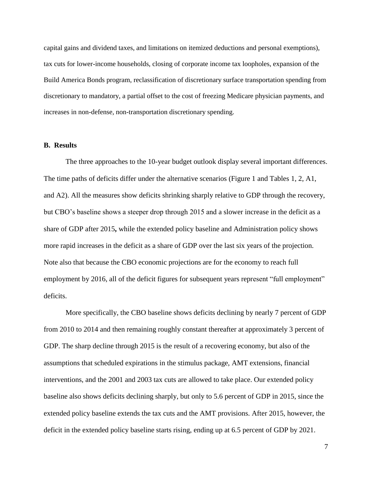capital gains and dividend taxes, and limitations on itemized deductions and personal exemptions), tax cuts for lower-income households, closing of corporate income tax loopholes, expansion of the Build America Bonds program, reclassification of discretionary surface transportation spending from discretionary to mandatory, a partial offset to the cost of freezing Medicare physician payments, and increases in non-defense, non-transportation discretionary spending.

### **B. Results**

The three approaches to the 10-year budget outlook display several important differences. The time paths of deficits differ under the alternative scenarios (Figure 1 and Tables 1, 2, A1, and A2). All the measures show deficits shrinking sharply relative to GDP through the recovery, but CBO's baseline shows a steeper drop through 2015 and a slower increase in the deficit as a share of GDP after 2015**,** while the extended policy baseline and Administration policy shows more rapid increases in the deficit as a share of GDP over the last six years of the projection. Note also that because the CBO economic projections are for the economy to reach full employment by 2016, all of the deficit figures for subsequent years represent "full employment" deficits.

More specifically, the CBO baseline shows deficits declining by nearly 7 percent of GDP from 2010 to 2014 and then remaining roughly constant thereafter at approximately 3 percent of GDP. The sharp decline through 2015 is the result of a recovering economy, but also of the assumptions that scheduled expirations in the stimulus package, AMT extensions, financial interventions, and the 2001 and 2003 tax cuts are allowed to take place. Our extended policy baseline also shows deficits declining sharply, but only to 5.6 percent of GDP in 2015, since the extended policy baseline extends the tax cuts and the AMT provisions. After 2015, however, the deficit in the extended policy baseline starts rising, ending up at 6.5 percent of GDP by 2021.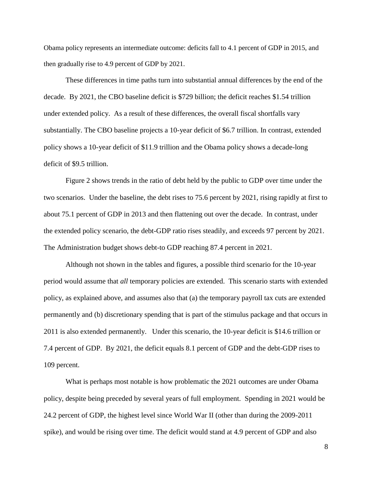Obama policy represents an intermediate outcome: deficits fall to 4.1 percent of GDP in 2015, and then gradually rise to 4.9 percent of GDP by 2021.

These differences in time paths turn into substantial annual differences by the end of the decade. By 2021, the CBO baseline deficit is \$729 billion; the deficit reaches \$1.54 trillion under extended policy. As a result of these differences, the overall fiscal shortfalls vary substantially. The CBO baseline projects a 10-year deficit of \$6.7 trillion. In contrast, extended policy shows a 10-year deficit of \$11.9 trillion and the Obama policy shows a decade-long deficit of \$9.5 trillion.

Figure 2 shows trends in the ratio of debt held by the public to GDP over time under the two scenarios. Under the baseline, the debt rises to 75.6 percent by 2021, rising rapidly at first to about 75.1 percent of GDP in 2013 and then flattening out over the decade. In contrast, under the extended policy scenario, the debt-GDP ratio rises steadily, and exceeds 97 percent by 2021. The Administration budget shows debt-to GDP reaching 87.4 percent in 2021.

Although not shown in the tables and figures, a possible third scenario for the 10-year period would assume that *all* temporary policies are extended. This scenario starts with extended policy, as explained above, and assumes also that (a) the temporary payroll tax cuts are extended permanently and (b) discretionary spending that is part of the stimulus package and that occurs in 2011 is also extended permanently. Under this scenario, the 10-year deficit is \$14.6 trillion or 7.4 percent of GDP. By 2021, the deficit equals 8.1 percent of GDP and the debt-GDP rises to 109 percent.

What is perhaps most notable is how problematic the 2021 outcomes are under Obama policy, despite being preceded by several years of full employment. Spending in 2021 would be 24.2 percent of GDP, the highest level since World War II (other than during the 2009-2011 spike), and would be rising over time. The deficit would stand at 4.9 percent of GDP and also

8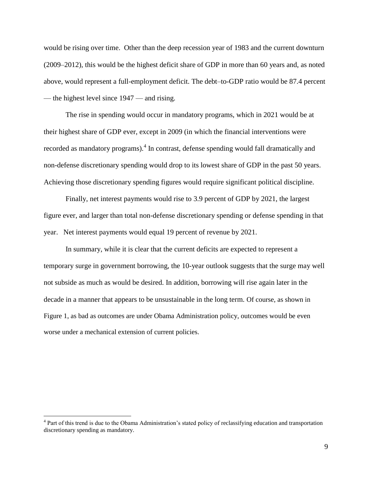would be rising over time. Other than the deep recession year of 1983 and the current downturn (2009–2012), this would be the highest deficit share of GDP in more than 60 years and, as noted above, would represent a full-employment deficit. The debt–to-GDP ratio would be 87.4 percent — the highest level since 1947 — and rising.

The rise in spending would occur in mandatory programs, which in 2021 would be at their highest share of GDP ever, except in 2009 (in which the financial interventions were recorded as mandatory programs).<sup>4</sup> In contrast, defense spending would fall dramatically and non-defense discretionary spending would drop to its lowest share of GDP in the past 50 years. Achieving those discretionary spending figures would require significant political discipline.

Finally, net interest payments would rise to 3.9 percent of GDP by 2021, the largest figure ever, and larger than total non-defense discretionary spending or defense spending in that year. Net interest payments would equal 19 percent of revenue by 2021.

In summary, while it is clear that the current deficits are expected to represent a temporary surge in government borrowing, the 10-year outlook suggests that the surge may well not subside as much as would be desired. In addition, borrowing will rise again later in the decade in a manner that appears to be unsustainable in the long term. Of course, as shown in Figure 1, as bad as outcomes are under Obama Administration policy, outcomes would be even worse under a mechanical extension of current policies.

<sup>&</sup>lt;sup>4</sup> Part of this trend is due to the Obama Administration's stated policy of reclassifying education and transportation discretionary spending as mandatory.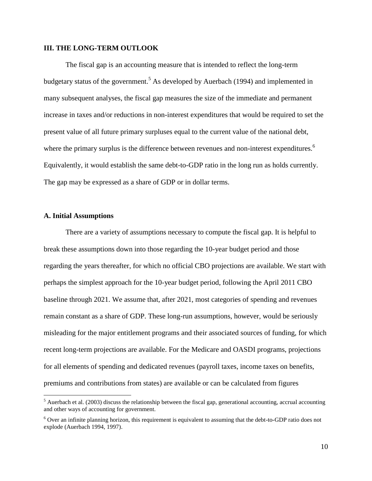### **III. THE LONG-TERM OUTLOOK**

The fiscal gap is an accounting measure that is intended to reflect the long-term budgetary status of the government.<sup>5</sup> As developed by Auerbach (1994) and implemented in many subsequent analyses, the fiscal gap measures the size of the immediate and permanent increase in taxes and/or reductions in non-interest expenditures that would be required to set the present value of all future primary surpluses equal to the current value of the national debt, where the primary surplus is the difference between revenues and non-interest expenditures.<sup>6</sup> Equivalently, it would establish the same debt-to-GDP ratio in the long run as holds currently. The gap may be expressed as a share of GDP or in dollar terms.

### **A. Initial Assumptions**

 $\overline{a}$ 

There are a variety of assumptions necessary to compute the fiscal gap. It is helpful to break these assumptions down into those regarding the 10-year budget period and those regarding the years thereafter, for which no official CBO projections are available. We start with perhaps the simplest approach for the 10-year budget period, following the April 2011 CBO baseline through 2021. We assume that, after 2021, most categories of spending and revenues remain constant as a share of GDP. These long-run assumptions, however, would be seriously misleading for the major entitlement programs and their associated sources of funding, for which recent long-term projections are available. For the Medicare and OASDI programs, projections for all elements of spending and dedicated revenues (payroll taxes, income taxes on benefits, premiums and contributions from states) are available or can be calculated from figures

 $<sup>5</sup>$  Auerbach et al. (2003) discuss the relationship between the fiscal gap, generational accounting, accrual accounting</sup> and other ways of accounting for government.

<sup>6</sup> Over an infinite planning horizon, this requirement is equivalent to assuming that the debt-to-GDP ratio does not explode (Auerbach 1994, 1997).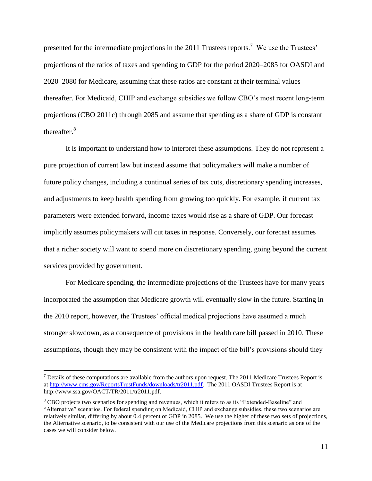presented for the intermediate projections in the 2011 Trustees reports.<sup>7</sup> We use the Trustees' projections of the ratios of taxes and spending to GDP for the period 2020–2085 for OASDI and 2020–2080 for Medicare, assuming that these ratios are constant at their terminal values thereafter. For Medicaid, CHIP and exchange subsidies we follow CBO's most recent long-term projections (CBO 2011c) through 2085 and assume that spending as a share of GDP is constant thereafter.<sup>8</sup>

It is important to understand how to interpret these assumptions. They do not represent a pure projection of current law but instead assume that policymakers will make a number of future policy changes, including a continual series of tax cuts, discretionary spending increases, and adjustments to keep health spending from growing too quickly. For example, if current tax parameters were extended forward, income taxes would rise as a share of GDP. Our forecast implicitly assumes policymakers will cut taxes in response. Conversely, our forecast assumes that a richer society will want to spend more on discretionary spending, going beyond the current services provided by government.

For Medicare spending, the intermediate projections of the Trustees have for many years incorporated the assumption that Medicare growth will eventually slow in the future. Starting in the 2010 report, however, the Trustees' official medical projections have assumed a much stronger slowdown, as a consequence of provisions in the health care bill passed in 2010. These assumptions, though they may be consistent with the impact of the bill's provisions should they

 $<sup>7</sup>$  Details of these computations are available from the authors upon request. The 2011 Medicare Trustees Report is</sup> a[t http://www.cms.gov/ReportsTrustFunds/downloads/tr2011.pdf.](http://www.cms.gov/ReportsTrustFunds/downloads/tr2011.pdf) The 2011 OASDI Trustees Report is at http://www.ssa.gov/OACT/TR/2011/tr2011.pdf.

<sup>&</sup>lt;sup>8</sup> CBO projects two scenarios for spending and revenues, which it refers to as its "Extended-Baseline" and ―Alternative‖ scenarios. For federal spending on Medicaid, CHIP and exchange subsidies, these two scenarios are relatively similar, differing by about 0.4 percent of GDP in 2085. We use the higher of these two sets of projections, the Alternative scenario, to be consistent with our use of the Medicare projections from this scenario as one of the cases we will consider below.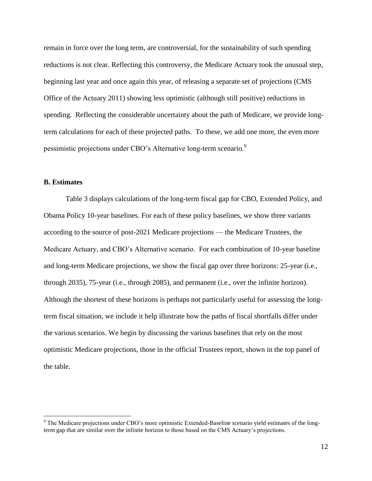remain in force over the long term, are controversial, for the sustainability of such spending reductions is not clear. Reflecting this controversy, the Medicare Actuary took the unusual step, beginning last year and once again this year, of releasing a separate set of projections (CMS Office of the Actuary 2011) showing less optimistic (although still positive) reductions in spending. Reflecting the considerable uncertainty about the path of Medicare, we provide longterm calculations for each of these projected paths. To these, we add one more, the even more pessimistic projections under CBO's Alternative long-term scenario.<sup>9</sup>

### **B. Estimates**

 $\overline{a}$ 

Table 3 displays calculations of the long-term fiscal gap for CBO, Extended Policy, and Obama Policy 10-year baselines. For each of these policy baselines, we show three variants according to the source of post-2021 Medicare projections — the Medicare Trustees, the Medicare Actuary, and CBO's Alternative scenario. For each combination of 10-year baseline and long-term Medicare projections, we show the fiscal gap over three horizons: 25-year (i.e., through 2035), 75-year (i.e., through 2085), and permanent (i.e., over the infinite horizon). Although the shortest of these horizons is perhaps not particularly useful for assessing the longterm fiscal situation, we include it help illustrate how the paths of fiscal shortfalls differ under the various scenarios. We begin by discussing the various baselines that rely on the most optimistic Medicare projections, those in the official Trustees report, shown in the top panel of the table.

<sup>&</sup>lt;sup>9</sup> The Medicare projections under CBO's more optimistic Extended-Baseline scenario yield estimates of the longterm gap that are similar over the infinite horizon to those based on the CMS Actuary's projections.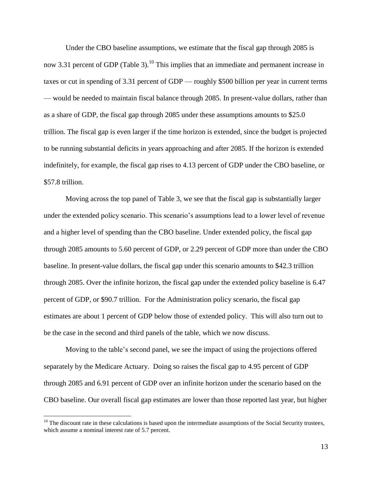Under the CBO baseline assumptions, we estimate that the fiscal gap through 2085 is now 3.31 percent of GDP (Table 3).<sup>10</sup> This implies that an immediate and permanent increase in taxes or cut in spending of 3.31 percent of GDP — roughly \$500 billion per year in current terms — would be needed to maintain fiscal balance through 2085. In present-value dollars, rather than as a share of GDP, the fiscal gap through 2085 under these assumptions amounts to \$25.0 trillion. The fiscal gap is even larger if the time horizon is extended, since the budget is projected to be running substantial deficits in years approaching and after 2085. If the horizon is extended indefinitely, for example, the fiscal gap rises to 4.13 percent of GDP under the CBO baseline, or \$57.8 trillion.

Moving across the top panel of Table 3, we see that the fiscal gap is substantially larger under the extended policy scenario. This scenario's assumptions lead to a lower level of revenue and a higher level of spending than the CBO baseline. Under extended policy, the fiscal gap through 2085 amounts to 5.60 percent of GDP, or 2.29 percent of GDP more than under the CBO baseline. In present-value dollars, the fiscal gap under this scenario amounts to \$42.3 trillion through 2085. Over the infinite horizon, the fiscal gap under the extended policy baseline is 6.47 percent of GDP, or \$90.7 trillion. For the Administration policy scenario, the fiscal gap estimates are about 1 percent of GDP below those of extended policy. This will also turn out to be the case in the second and third panels of the table, which we now discuss.

Moving to the table's second panel, we see the impact of using the projections offered separately by the Medicare Actuary. Doing so raises the fiscal gap to 4.95 percent of GDP through 2085 and 6.91 percent of GDP over an infinite horizon under the scenario based on the CBO baseline. Our overall fiscal gap estimates are lower than those reported last year, but higher

 $10$  The discount rate in these calculations is based upon the intermediate assumptions of the Social Security trustees, which assume a nominal interest rate of 5.7 percent.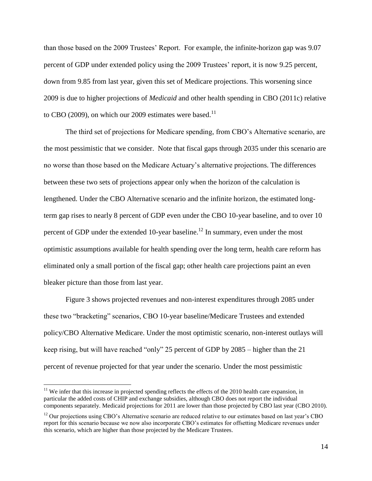than those based on the 2009 Trustees' Report. For example, the infinite-horizon gap was 9.07 percent of GDP under extended policy using the 2009 Trustees' report, it is now 9.25 percent, down from 9.85 from last year, given this set of Medicare projections. This worsening since 2009 is due to higher projections of *Medicaid* and other health spending in CBO (2011c) relative to CBO (2009), on which our 2009 estimates were based.<sup>11</sup>

The third set of projections for Medicare spending, from CBO's Alternative scenario, are the most pessimistic that we consider. Note that fiscal gaps through 2035 under this scenario are no worse than those based on the Medicare Actuary's alternative projections. The differences between these two sets of projections appear only when the horizon of the calculation is lengthened. Under the CBO Alternative scenario and the infinite horizon, the estimated longterm gap rises to nearly 8 percent of GDP even under the CBO 10-year baseline, and to over 10 percent of GDP under the extended 10-year baseline.<sup>12</sup> In summary, even under the most optimistic assumptions available for health spending over the long term, health care reform has eliminated only a small portion of the fiscal gap; other health care projections paint an even bleaker picture than those from last year.

Figure 3 shows projected revenues and non-interest expenditures through 2085 under these two "bracketing" scenarios, CBO 10-year baseline/Medicare Trustees and extended policy/CBO Alternative Medicare. Under the most optimistic scenario, non-interest outlays will keep rising, but will have reached "only" 25 percent of GDP by  $2085$  – higher than the 21 percent of revenue projected for that year under the scenario. Under the most pessimistic

 $11$  We infer that this increase in projected spending reflects the effects of the 2010 health care expansion, in particular the added costs of CHIP and exchange subsidies, although CBO does not report the individual components separately. Medicaid projections for 2011 are lower than those projected by CBO last year (CBO 2010).

 $12$  Our projections using CBO's Alternative scenario are reduced relative to our estimates based on last year's CBO report for this scenario because we now also incorporate CBO's estimates for offsetting Medicare revenues under this scenario, which are higher than those projected by the Medicare Trustees.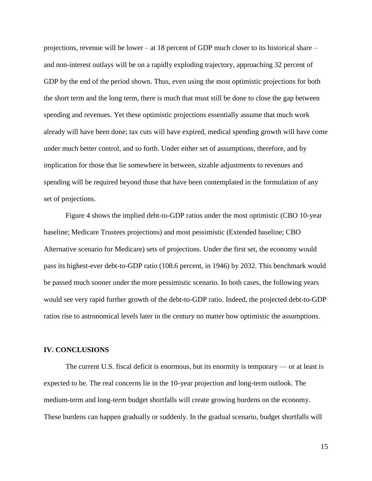projections, revenue will be lower – at 18 percent of GDP much closer to its historical share – and non-interest outlays will be on a rapidly exploding trajectory, approaching 32 percent of GDP by the end of the period shown. Thus, even using the most optimistic projections for both the short term and the long term, there is much that must still be done to close the gap between spending and revenues. Yet these optimistic projections essentially assume that much work already will have been done; tax cuts will have expired, medical spending growth will have come under much better control, and so forth. Under either set of assumptions, therefore, and by implication for those that lie somewhere in between, sizable adjustments to revenues and spending will be required beyond those that have been contemplated in the formulation of any set of projections.

Figure 4 shows the implied debt-to-GDP ratios under the most optimistic (CBO 10-year baseline; Medicare Trustees projections) and most pessimistic (Extended baseline; CBO Alternative scenario for Medicare) sets of projections. Under the first set, the economy would pass its highest-ever debt-to-GDP ratio (108.6 percent, in 1946) by 2032. This benchmark would be passed much sooner under the more pessimistic scenario. In both cases, the following years would see very rapid further growth of the debt-to-GDP ratio. Indeed, the projected debt-to-GDP ratios rise to astronomical levels later in the century no matter how optimistic the assumptions.

#### **IV. CONCLUSIONS**

The current U.S. fiscal deficit is enormous, but its enormity is temporary — or at least is expected to be. The real concerns lie in the 10-year projection and long-term outlook. The medium-term and long-term budget shortfalls will create growing burdens on the economy. These burdens can happen gradually or suddenly. In the gradual scenario, budget shortfalls will

15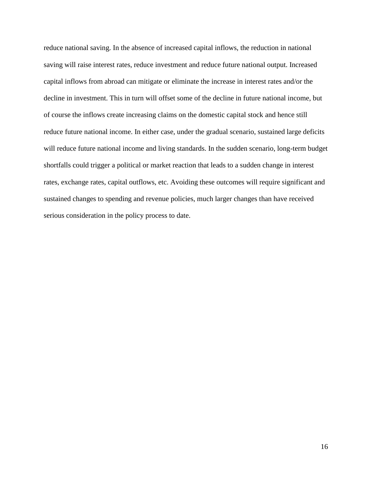reduce national saving. In the absence of increased capital inflows, the reduction in national saving will raise interest rates, reduce investment and reduce future national output. Increased capital inflows from abroad can mitigate or eliminate the increase in interest rates and/or the decline in investment. This in turn will offset some of the decline in future national income, but of course the inflows create increasing claims on the domestic capital stock and hence still reduce future national income. In either case, under the gradual scenario, sustained large deficits will reduce future national income and living standards. In the sudden scenario, long-term budget shortfalls could trigger a political or market reaction that leads to a sudden change in interest rates, exchange rates, capital outflows, etc. Avoiding these outcomes will require significant and sustained changes to spending and revenue policies, much larger changes than have received serious consideration in the policy process to date.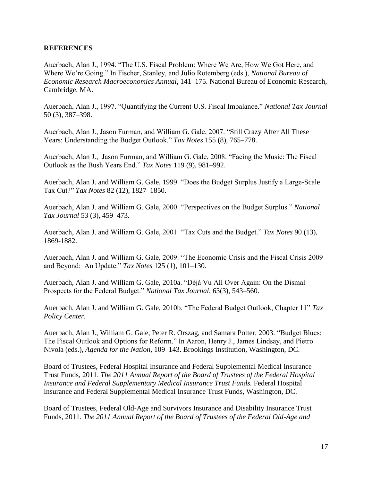## **REFERENCES**

Auerbach, Alan J., 1994. "The U.S. Fiscal Problem: Where We Are, How We Got Here, and Where We're Going." In Fischer, Stanley, and Julio Rotemberg (eds.), *National Bureau of Economic Research Macroeconomics Annual*, 141–175. National Bureau of Economic Research, Cambridge, MA.

Auerbach, Alan J., 1997. "Quantifying the Current U.S. Fiscal Imbalance." *National Tax Journal* 50 (3), 387–398.

Auerbach, Alan J., Jason Furman, and William G. Gale, 2007. "Still Crazy After All These Years: Understanding the Budget Outlook." *Tax Notes* 155 (8), 765–778.

Auerbach, Alan J., Jason Furman, and William G. Gale, 2008. "Facing the Music: The Fiscal Outlook as the Bush Years End.‖ *Tax Notes* 119 (9), 981–992.

Auerbach, Alan J. and William G. Gale, 1999. "Does the Budget Surplus Justify a Large-Scale Tax Cut?‖ *Tax Notes* 82 (12), 1827–1850.

Auerbach, Alan J. and William G. Gale, 2000. "Perspectives on the Budget Surplus." *National Tax Journal* 53 (3), 459–473.

Auerbach, Alan J. and William G. Gale, 2001. "Tax Cuts and the Budget." *Tax Notes* 90 (13), 1869-1882.

Auerbach, Alan J. and William G. Gale, 2009. "The Economic Crisis and the Fiscal Crisis 2009 and Beyond: An Update." *Tax Notes* 125 (1), 101-130.

Auerbach, Alan J. and William G. Gale, 2010a. "Déjà Vu All Over Again: On the Dismal Prospects for the Federal Budget." *National Tax Journal*, 63(3), 543–560.

Auerbach, Alan J. and William G. Gale, 2010b. "The Federal Budget Outlook, Chapter 11" Tax *Policy Center.*

Auerbach, Alan J., William G. Gale, Peter R. Orszag, and Samara Potter, 2003. "Budget Blues: The Fiscal Outlook and Options for Reform." In Aaron, Henry J., James Lindsay, and Pietro Nivola (eds.), *Agenda for the Nation*, 109–143. Brookings Institution, Washington, DC.

Board of Trustees, Federal Hospital Insurance and Federal Supplemental Medical Insurance Trust Funds, 2011. *The 2011 Annual Report of the Board of Trustees of the Federal Hospital Insurance and Federal Supplementary Medical Insurance Trust Funds.* Federal Hospital Insurance and Federal Supplemental Medical Insurance Trust Funds, Washington, DC.

Board of Trustees, Federal Old-Age and Survivors Insurance and Disability Insurance Trust Funds, 2011. *The 2011 Annual Report of the Board of Trustees of the Federal Old-Age and*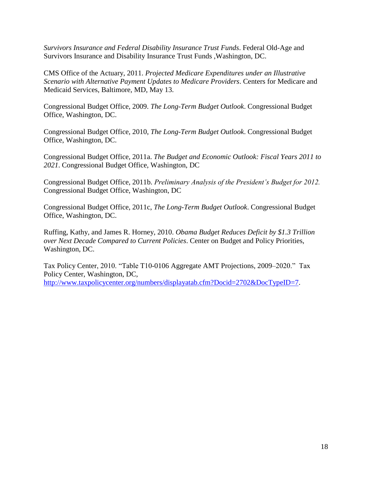*Survivors Insurance and Federal Disability Insurance Trust Funds*. Federal Old-Age and Survivors Insurance and Disability Insurance Trust Funds ,Washington, DC.

CMS Office of the Actuary, 2011. *Projected Medicare Expenditures under an Illustrative Scenario with Alternative Payment Updates to Medicare Providers*. Centers for Medicare and Medicaid Services, Baltimore, MD, May 13.

Congressional Budget Office, 2009. *The Long-Term Budget Outlook*. Congressional Budget Office, Washington, DC.

Congressional Budget Office, 2010, *The Long-Term Budget Outlook*. Congressional Budget Office, Washington, DC.

Congressional Budget Office, 2011a. *The Budget and Economic Outlook: Fiscal Years 2011 to 2021*. Congressional Budget Office, Washington, DC

Congressional Budget Office, 2011b. *Preliminary Analysis of the President's Budget for 2012.* Congressional Budget Office, Washington, DC

Congressional Budget Office, 2011c, *The Long-Term Budget Outlook*. Congressional Budget Office, Washington, DC.

Ruffing, Kathy, and James R. Horney, 2010. *Obama Budget Reduces Deficit by \$1.3 Trillion over Next Decade Compared to Current Policies*. Center on Budget and Policy Priorities, Washington, DC.

Tax Policy Center, 2010. "Table T10-0106 Aggregate AMT Projections, 2009–2020." Tax Policy Center, Washington, DC, [http://www.taxpolicycenter.org/numbers/displayatab.cfm?Docid=2702&DocTypeID=7.](http://www.taxpolicycenter.org/numbers/displayatab.cfm?Docid=2702&DocTypeID=7)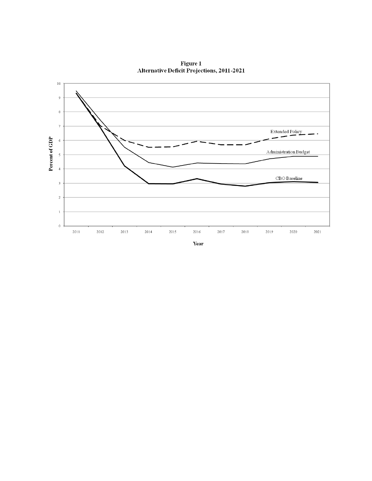

Figure 1<br>Alternative Deficit Projections, 2011-2021

Year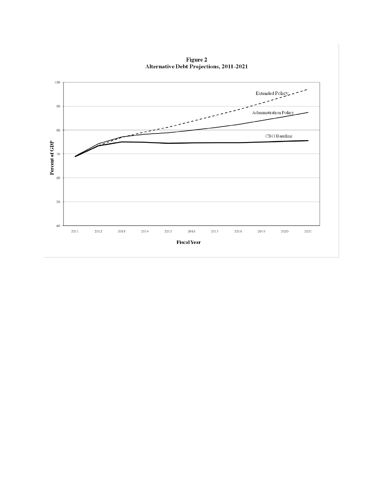

Figure 2<br>Alternative Debt Projections, 2011-2021

**Fiscal Year**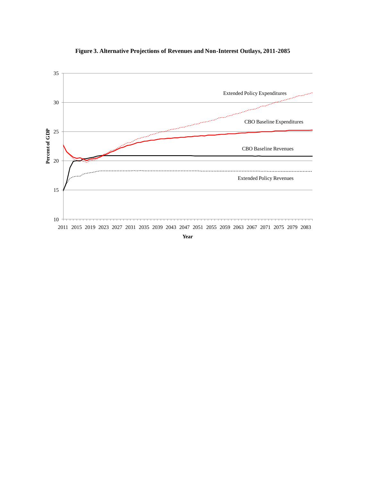

**Figure 3. Alternative Projections of Revenues and Non-Interest Outlays, 2011-2085**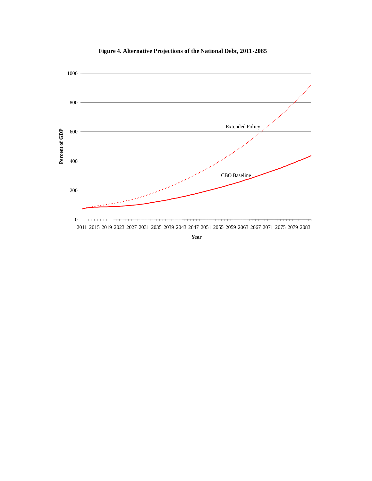

**Figure 4. Alternative Projections of the National Debt, 2011-2085**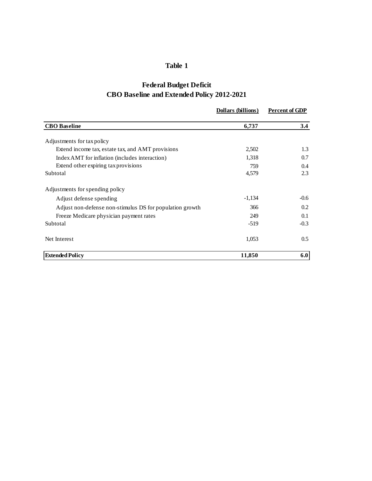## **Table 1**

## **Federal Budget Deficit CBO Baseline and Extended Policy 2012-2021**

|                                                          | Dollars (billions) | <b>Percent of GDP</b> |
|----------------------------------------------------------|--------------------|-----------------------|
| <b>CBO</b> Baseline                                      | 6,737              | 3.4                   |
| Adjustments for tax policy                               |                    |                       |
| Extend income tax, estate tax, and AMT provisions        | 2,502              | 1.3                   |
| Index AMT for inflation (includes interaction)           | 1,318              | 0.7                   |
| Extend other expiring tax provisions                     | 759                | $0.4^{\circ}$         |
| Subtotal                                                 | 4,579              | 2.3                   |
| Adjustments for spending policy                          |                    |                       |
| Adjust defense spending                                  | $-1,134$           | $-0.6$                |
| Adjust non-defense non-stimulus DS for population growth | 366                | 0.2                   |
| Freeze Medicare physician payment rates                  | 249                | 0.1                   |
| Subtotal                                                 | $-519$             | $-0.3$                |
| Net Interest                                             | 1,053              | 0.5                   |
| <b>Extended Policy</b>                                   | 11,850             | 6.0                   |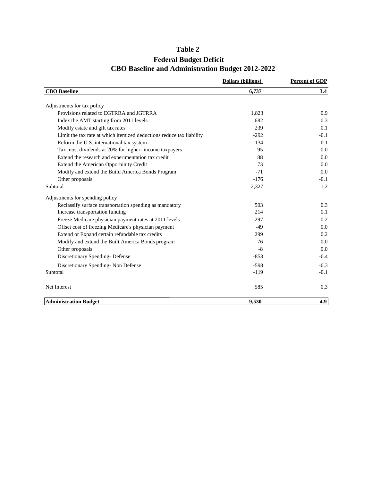## **Table 2**

## **Federal Budget Deficit CBO Baseline and Administration Budget 2012-2022**

|                                                                      | <b>Dollars (billions)</b> | <b>Percent of GDP</b> |  |  |
|----------------------------------------------------------------------|---------------------------|-----------------------|--|--|
| <b>CBO</b> Baseline                                                  | 6,737                     | 3.4                   |  |  |
| Adjustments for tax policy                                           |                           |                       |  |  |
| Provisions related to EGTRRA and JGTRRA                              | 1,823                     | 0.9                   |  |  |
| Index the AMT starting from 2011 levels                              | 682                       | 0.3                   |  |  |
| Modify estate and gift tax rates                                     | 239                       | 0.1                   |  |  |
| Limit the tax rate at which itemized deductions reduce tax liability | $-292$                    | $-0.1$                |  |  |
| Reform the U.S. international tax system                             | $-134$                    | $-0.1$                |  |  |
| Tax most dividends at 20% for higher- income taxpayers               | 95                        | 0.0                   |  |  |
| Extend the research and experimentation tax credit                   | 88                        | 0.0                   |  |  |
| Extend the American Opportunity Credit                               | 73                        | 0.0                   |  |  |
| Modify and extend the Build America Bonds Program                    | $-71$                     | 0.0                   |  |  |
| Other proposals                                                      | $-176$                    | $-0.1$                |  |  |
| Subtotal                                                             | 2,327                     | 1.2                   |  |  |
| Adjustments for spending policy                                      |                           |                       |  |  |
| Reclassify surface transportation spending as mandatory              | 503                       | 0.3                   |  |  |
| Increase transportation funding                                      | 214                       | 0.1                   |  |  |
| Freeze Medicare physician payment rates at 2011 levels               | 297                       | 0.2                   |  |  |
| Offset cost of freezing Medicare's physician payment                 | $-49$                     | 0.0                   |  |  |
| Extend or Expand certain refundable tax credits                      | 299                       | 0.2                   |  |  |
| Modify and extend the Built America Bonds program                    | 76                        | 0.0                   |  |  |
| Other proposals                                                      | $-8$                      | 0.0                   |  |  |
| Discretionary Spending-Defense                                       | $-853$                    | $-0.4$                |  |  |
| Discretionary Spending- Non Defense                                  | $-598$                    | $-0.3$                |  |  |
| Subtotal                                                             | $-119$                    | $-0.1$                |  |  |
| Net Interest                                                         | 585                       | 0.3                   |  |  |
| <b>Administration Budget</b>                                         | 9,530                     | 4.9                   |  |  |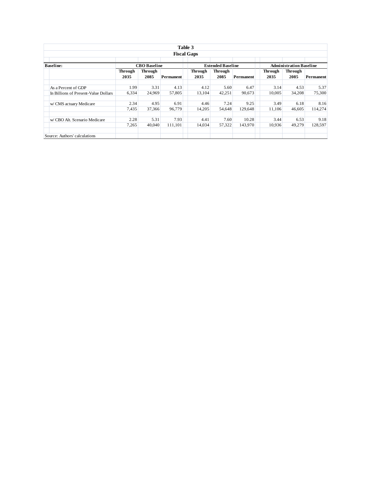|                                      |                        |                        | Table 3   |                                |                        |                  |                        |                        |           |  |  |  |  |
|--------------------------------------|------------------------|------------------------|-----------|--------------------------------|------------------------|------------------|------------------------|------------------------|-----------|--|--|--|--|
| <b>Fiscal Gaps</b>                   |                        |                        |           |                                |                        |                  |                        |                        |           |  |  |  |  |
| <b>Baseline:</b>                     |                        | <b>CBO</b> Baseline    |           | <b>Administration Baseline</b> |                        |                  |                        |                        |           |  |  |  |  |
|                                      | <b>Through</b><br>2035 | <b>Through</b><br>2085 | Permanent | <b>Through</b><br>2035         | <b>Through</b><br>2085 | <b>Permanent</b> | <b>Through</b><br>2035 | <b>Through</b><br>2085 | Permanent |  |  |  |  |
| As a Percent of GDP                  | 1.99                   | 3.31                   | 4.13      | 4.12                           | 5.60                   | 6.47             | 3.14                   | 4.53                   | 5.37      |  |  |  |  |
| In Billions of Present-Value Dollars | 6,334                  | 24.969                 | 57,805    | 13.104                         | 42,251                 | 90.673           | 10.005                 | 34.208                 | 75,300    |  |  |  |  |
| w/ CMS actuary Medicare              | 2.34                   | 4.95                   | 6.91      | 4.46                           | 7.24                   | 9.25             | 3.49                   | 6.18                   | 8.16      |  |  |  |  |
|                                      | 7.435                  | 37.366                 | 96,779    | 14.205                         | 54.648                 | 129.648          | 11.106                 | 46.605                 | 114,274   |  |  |  |  |
| w/ CBO Alt. Scenario Medicare        | 2.28                   | 5.31                   | 7.93      | 4.41                           | 7.60                   | 10.28            | 3.44                   | 6.53                   | 9.18      |  |  |  |  |
|                                      | 7,265                  | 40,040                 | 111.101   | 14,034                         | 57,322                 | 143.970          | 10.936                 | 49.279                 | 128.597   |  |  |  |  |
| Source: Authors' calculations        |                        |                        |           |                                |                        |                  |                        |                        |           |  |  |  |  |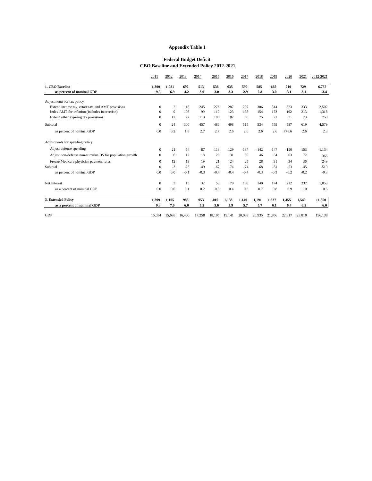#### **Appendix Table 1**

#### **Federal Budget Deficit CBO Baseline and Extended Policy 2012-2021**

|                                                          | 2011         | 2012           | 2013   | 2014   | 2015   | 2016   | 2017   | 2018   | 2019   | 2020   | 2021   | 2012-2021 |
|----------------------------------------------------------|--------------|----------------|--------|--------|--------|--------|--------|--------|--------|--------|--------|-----------|
| 1. CBO Baseline                                          | 1.399        | 1.081          | 692    | 513    | 538    | 635    | 590    | 585    | 665    | 710    | 729    | 6,737     |
| as percent of nominal GDP                                | 9.3          | 6.9            | 4.2    | 3.0    | 3.0    | 3.3    | 2.9    | 2.8    | 3.0    | 3.1    | 3.1    | 3.4       |
| Adjustments for tax policy                               |              |                |        |        |        |        |        |        |        |        |        |           |
| Extend income tax, estate tax, and AMT provisions        | $\mathbf{0}$ | $\overline{c}$ | 118    | 245    | 276    | 287    | 297    | 306    | 314    | 323    | 333    | 2,502     |
| Index AMT for inflation (includes interaction)           | $\Omega$     | 9              | 105    | 99     | 110    | 123    | 138    | 154    | 173    | 192    | 213    | 1.318     |
| Extend other expiring tax provisions                     | $\Omega$     | 12             | 77     | 113    | 100    | 87     | 80     | 75     | 72     | 71     | 73     | 759       |
| Subtotal                                                 | $\mathbf{0}$ | 24             | 300    | 457    | 486    | 498    | 515    | 534    | 559    | 587    | 619    | 4,579     |
| as percent of nominal GDP                                | 0.0          | 0.2            | 1.8    | 2.7    | 2.7    | 2.6    | 2.6    | 2.6    | 2.6    | 778.6  | 2.6    | 2.3       |
| Adjustments for spending policy                          |              |                |        |        |        |        |        |        |        |        |        |           |
| Adjust defense spending                                  | $\mathbf{0}$ | $-21$          | $-54$  | $-87$  | $-113$ | $-129$ | $-137$ | $-142$ | $-147$ | $-150$ | $-153$ | $-1,134$  |
| Adjust non-defense non-stimulus DS for population growth | $\mathbf{0}$ | 6              | 12     | 18     | 25     | 31     | 39     | 46     | 54     | 63     | 72     | 366       |
| Freeze Medicare physician payment rates                  | $\mathbf{0}$ | 12             | 19     | 19     | 21     | 24     | 25     | 28     | 31     | 34     | 36     | 249       |
| Subtotal                                                 | $\mathbf{0}$ | $-3$           | $-23$  | $-49$  | $-67$  | $-74$  | $-74$  | $-68$  | $-61$  | $-53$  | $-45$  | $-519$    |
| as percent of nominal GDP                                | 0.0          | 0.0            | $-0.1$ | $-0.3$ | $-0.4$ | $-0.4$ | $-0.4$ | $-0.3$ | $-0.3$ | $-0.2$ | $-0.2$ | $-0.3$    |
| Net Interest                                             | $\Omega$     | 3              | 15     | 32     | 53     | 79     | 108    | 140    | 174    | 212    | 237    | 1.053     |
| as a percent of nominal GDP                              | 0.0          | 0.0            | 0.1    | 0.2    | 0.3    | 0.4    | 0.5    | 0.7    | 0.8    | 0.9    | 1.0    | 0.5       |
| 3. Extended Policy                                       | 1,399        | 1.105          | 983    | 953    | 1,010  | 1,138  | 1,140  | 1,191  | 1,337  | 1,455  | 1,540  | 11,850    |
| as a percent of nominal GDP                              | 9.3          | 7.0            | 6.0    | 5.5    | 5.6    | 5.9    | 5.7    | 5.7    | 6.1    | 6.4    | 6.5    | 6.0       |
| <b>GDP</b>                                               | 15.034       | 15.693         | 16.400 | 17,258 | 18.195 | 19.141 | 20.033 | 20.935 | 21.856 | 22,817 | 23.810 | 196,138   |
|                                                          |              |                |        |        |        |        |        |        |        |        |        |           |